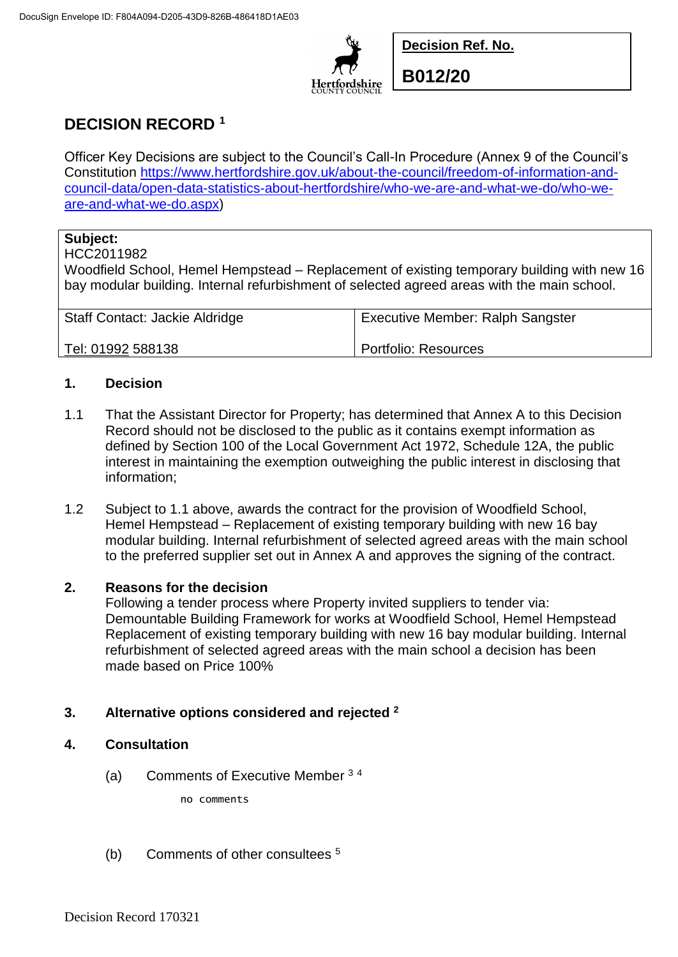

**Decision Ref. No.**

**B012/20**

# **DECISION RECORD <sup>1</sup>**

Officer Key Decisions are subject to the Council's Call-In Procedure (Annex 9 of the Council's Constitution [https://www.hertfordshire.gov.uk/about-the-council/freedom-of-information-and](https://www.hertfordshire.gov.uk/about-the-council/freedom-of-information-and-council-data/open-data-statistics-about-hertfordshire/who-we-are-and-what-we-do/who-we-are-and-what-we-do.aspx)[council-data/open-data-statistics-about-hertfordshire/who-we-are-and-what-we-do/who-we](https://www.hertfordshire.gov.uk/about-the-council/freedom-of-information-and-council-data/open-data-statistics-about-hertfordshire/who-we-are-and-what-we-do/who-we-are-and-what-we-do.aspx)[are-and-what-we-do.aspx\)](https://www.hertfordshire.gov.uk/about-the-council/freedom-of-information-and-council-data/open-data-statistics-about-hertfordshire/who-we-are-and-what-we-do/who-we-are-and-what-we-do.aspx)

# **Subject:**

#### HCC2011982

Woodfield School, Hemel Hempstead – Replacement of existing temporary building with new 16 bay modular building. Internal refurbishment of selected agreed areas with the main school.

| <b>Staff Contact: Jackie Aldridge</b> | <b>Executive Member: Ralph Sangster</b> |
|---------------------------------------|-----------------------------------------|
| Tel: 01992 588138                     | Portfolio: Resources                    |

## **1. Decision**

- 1.1 That the Assistant Director for Property; has determined that Annex A to this Decision Record should not be disclosed to the public as it contains exempt information as defined by Section 100 of the Local Government Act 1972, Schedule 12A, the public interest in maintaining the exemption outweighing the public interest in disclosing that information;
- 1.2 Subject to 1.1 above, awards the contract for the provision of Woodfield School, Hemel Hempstead – Replacement of existing temporary building with new 16 bay modular building. Internal refurbishment of selected agreed areas with the main school to the preferred supplier set out in Annex A and approves the signing of the contract.

### **2. Reasons for the decision**

Following a tender process where Property invited suppliers to tender via: Demountable Building Framework for works at Woodfield School, Hemel Hempstead Replacement of existing temporary building with new 16 bay modular building. Internal refurbishment of selected agreed areas with the main school a decision has been made based on Price 100%

# **3. Alternative options considered and rejected <sup>2</sup>**

### **4. Consultation**

(a) Comments of Executive Member <sup>3</sup> <sup>4</sup>

no comments

(b) Comments of other consultees <sup>5</sup>